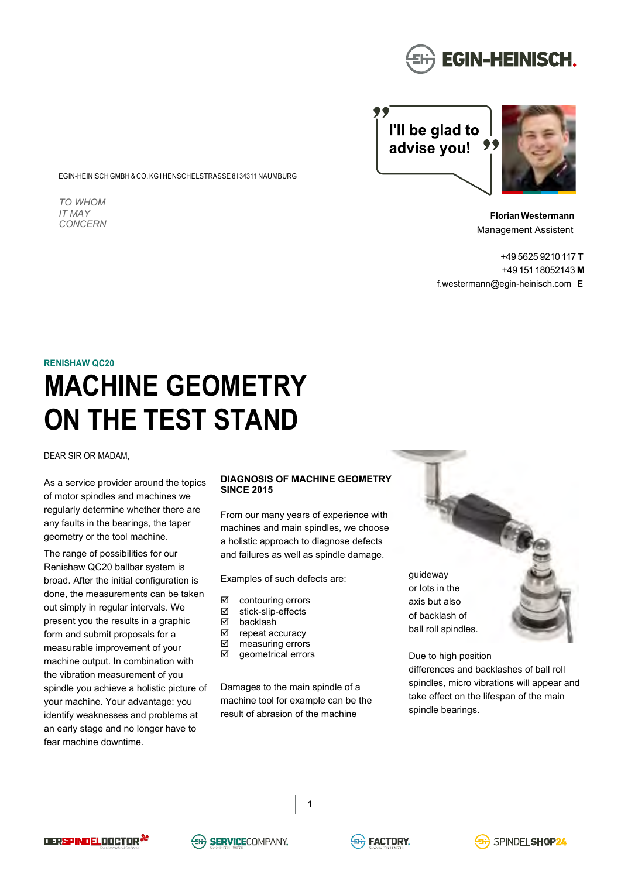

I'll be glad to advise you! ,,



**Florian Westermann** Management Assistent

+49 5625 9210 117 **T** +49 151 18052143 **M** f.westermann@egin-heinisch.com **E**

## **RENISHAW QC20**

*TO WHOM IT MAY CONCERN* 

# **MACHINE GEOMETRY ON THE TEST STAND**

EGIN-HEINISCH GMBH & CO. KG I HENSCHELSTRASSE 8 I 34311 NAUMBURG

DEAR SIR OR MADAM,

As a service provider around the topics of motor spindles and machines we regularly determine whether there are any faults in the bearings, the taper geometry or the tool machine.

The range of possibilities for our Renishaw QC20 ballbar system is broad. After the initial configuration is done, the measurements can be taken out simply in regular intervals. We present you the results in a graphic form and submit proposals for a measurable improvement of your machine output. In combination with the vibration measurement of you spindle you achieve a holistic picture of your machine. Your advantage: you identify weaknesses and problems at an early stage and no longer have to fear machine downtime.

## **DIAGNOSIS OF MACHINE GEOMETRY SINCE 2015**

From our many years of experience with machines and main spindles, we choose a holistic approach to diagnose defects and failures as well as spindle damage.

Examples of such defects are:

- ⊠ contouring errors<br>☑ stick-slip-effects
- ⊠ stick-slip-effects<br>⊠ hacklash
- ⊠ backlash<br>⊠ repeat ac
- repeat accuracy
- **Ø** measuring errors
- **Ø** geometrical errors

Damages to the main spindle of a machine tool for example can be the result of abrasion of the machine

**1**

guideway or lots in the axis but also of backlash of ball roll spindles.



Due to high position differences and backlashes of ball roll spindles, micro vibrations will appear and take effect on the lifespan of the main spindle bearings.

DERSPINDELDOCTOR<sup>34</sup>





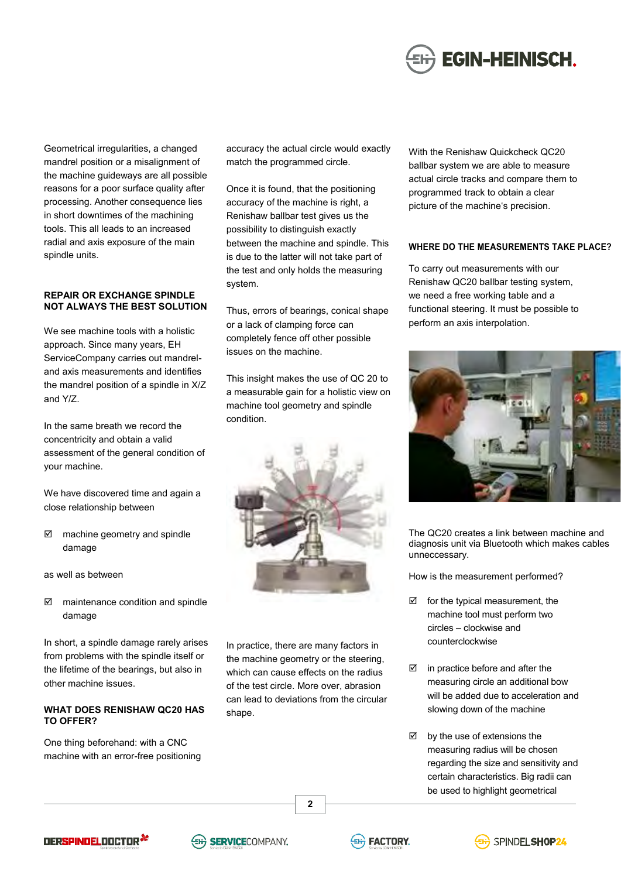

Geometrical irregularities, a changed mandrel position or a misalignment of the machine guideways are all possible reasons for a poor surface quality after processing. Another consequence lies in short downtimes of the machining tools. This all leads to an increased radial and axis exposure of the main spindle units.

## **REPAIR OR EXCHANGE SPINDLE NOT ALWAYS THE BEST SOLUTION**

We see machine tools with a holistic approach. Since many years, EH ServiceCompany carries out mandreland axis measurements and identifies the mandrel position of a spindle in X/Z and Y/Z.

In the same breath we record the concentricity and obtain a valid assessment of the general condition of your machine.

We have discovered time and again a close relationship between

 machine geometry and spindle damage

as well as between

 $\boxtimes$  maintenance condition and spindle damage

In short, a spindle damage rarely arises from problems with the spindle itself or the lifetime of the bearings, but also in other machine issues.

## **WHAT DOES RENISHAW QC20 HAS TO OFFER?**

One thing beforehand: with a CNC machine with an error-free positioning accuracy the actual circle would exactly match the programmed circle.

Once it is found, that the positioning accuracy of the machine is right, a Renishaw ballbar test gives us the possibility to distinguish exactly between the machine and spindle. This is due to the latter will not take part of the test and only holds the measuring system.

Thus, errors of bearings, conical shape or a lack of clamping force can completely fence off other possible issues on the machine.

This insight makes the use of QC 20 to a measurable gain for a holistic view on machine tool geometry and spindle condition.



In practice, there are many factors in the machine geometry or the steering, which can cause effects on the radius of the test circle. More over, abrasion can lead to deviations from the circular shape.

**2**

With the Renishaw Quickcheck QC20 ballbar system we are able to measure actual circle tracks and compare them to programmed track to obtain a clear picture of the machine's precision.

## **WHERE DO THE MEASUREMENTS TAKE PLACE?**

To carry out measurements with our Renishaw QC20 ballbar testing system, we need a free working table and a functional steering. It must be possible to perform an axis interpolation.



The QC20 creates a link between machine and diagnosis unit via Bluetooth which makes cables unneccessary.

How is the measurement performed?

- $\boxtimes$  for the typical measurement, the machine tool must perform two circles – clockwise and counterclockwise
- $\boxtimes$  in practice before and after the measuring circle an additional bow will be added due to acceleration and slowing down of the machine
- $\boxtimes$  by the use of extensions the measuring radius will be chosen regarding the size and sensitivity and certain characteristics. Big radii can be used to highlight geometrical